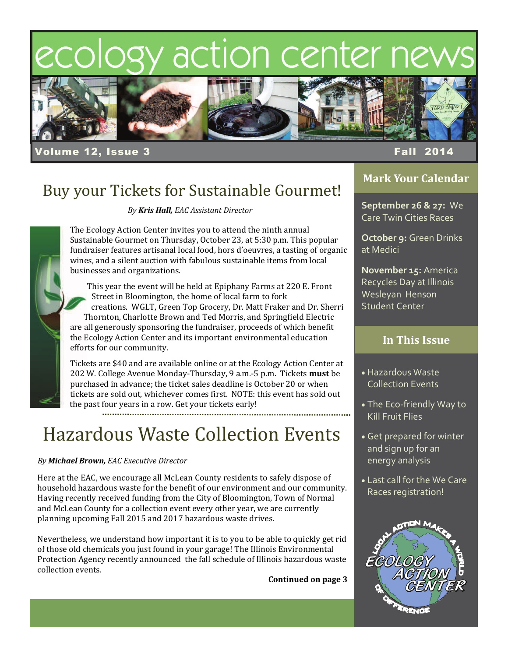# ecology action center nev



olume 12, Issue 3 Fall 2014

### Buy your Tickets for Sustainable Gourmet!

*By Kris Hall, EAC Assistant Director*

The Ecology Action Center invites you to attend the ninth annual Sustainable Gourmet on Thursday, October 23, at 5:30 p.m. This popular fundraiser features artisanal local food, hors d'oeuvres, a tasting of organic wines, and a silent auction with fabulous sustainable items from local businesses and organizations.

This year the event will be held at Epiphany Farms at 220 E. Front Street in Bloomington, the home of local farm to fork creations. WGLT, Green Top Grocery, Dr. Matt Fraker and Dr. Sherri Thornton, Charlotte Brown and Ted Morris, and Springfield Electric are all generously sponsoring the fundraiser, proceeds of which benefit the Ecology Action Center and its important environmental education efforts for our community.

Tickets are \$40 and are available online or at the Ecology Action Center at 202 W. College Avenue Monday-Thursday, 9 a.m.-5 p.m. Tickets must be purchased in advance; the ticket sales deadline is October 20 or when tickets are sold out, whichever comes first. NOTE: this event has sold out the past four years in a row. Get your tickets early!

**Hazardous Waste Collection Events** 

### *By Michael Brown, EAC Executive Director*

Here at the EAC, we encourage all McLean County residents to safely dispose of household hazardous waste for the benefit of our environment and our community. Having recently received funding from the City of Bloomington, Town of Normal and McLean County for a collection event every other year, we are currently planning upcoming Fall 2015 and 2017 hazardous waste drives.

Nevertheless, we understand how important it is to you to be able to quickly get rid of those old chemicals you just found in your garage! The Illinois Environmental Protection Agency recently announced the fall schedule of Illinois hazardous waste collection events.

**Continued on page 3**

### **Mark Your Calendar**

**September 26 & 27:** We Care Twin Cities Races

**October 9:** Green Drinks at Medici

**November 15:** America Recycles Day at Illinois Wesleyan Henson Student Center

### **In This Issue**

- Hazardous Waste Collection Events
- The Eco‐friendly Way to Kill Fruit Flies
- Get prepared for winter and sign up for an energy analysis
- **Last call for the We Care** Races registration!



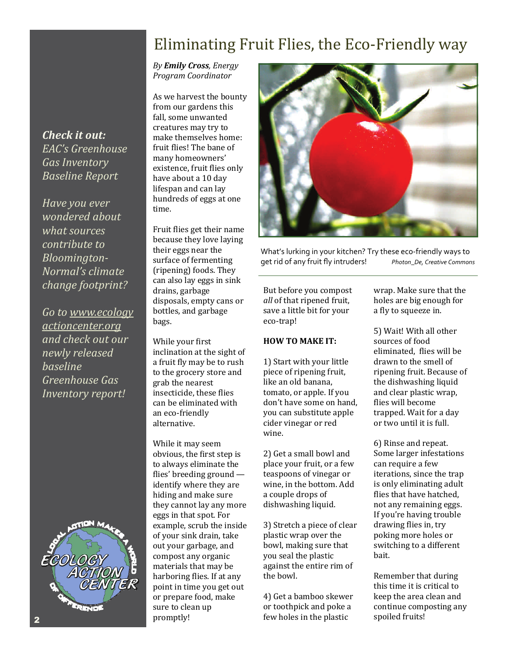### Eliminating Fruit Flies, the Eco-Friendly way

*By Emily Cross, Energy Program Coordinator*

As we harvest the bounty from our gardens this fall, some unwanted creatures may try to make themselves home: fruit flies! The bane of many homeowners' existence, fruit flies only have about a 10 day lifespan and can lay hundreds of eggs at one time. 

Fruit flies get their name because they love laying their eggs near the surface of fermenting (ripening) foods. They can also lay eggs in sink drains, garbage disposals, empty cans or bottles, and garbage bags. 

While your first inclination at the sight of a fruit fly may be to rush to the grocery store and grab the nearest insecticide, these flies can be eliminated with an eco-friendly alternative. 

While it may seem obvious, the first step is to always eliminate the flies' breeding ground identify where they are hiding and make sure they cannot lay any more eggs in that spot. For example, scrub the inside of your sink drain, take out your garbage, and compost any organic materials that may be harboring flies. If at any point in time you get out or prepare food, make sure to clean up promptly! 



What's lurking in your kitchen? Try these eco-friendly ways to get rid of any fruit fly intruders! *Photon\_De, Creative Commons*

But before you compost *all* of that ripened fruit, save a little bit for your eco‐trap! 

### **HOW TO MAKE IT:**

1) Start with your little piece of ripening fruit, like an old banana, tomato, or apple. If you don't have some on hand, you can substitute apple cider vinegar or red wine. 

2) Get a small bowl and place your fruit, or a few teaspoons of vinegar or wine, in the bottom. Add a couple drops of dishwashing liquid.

3) Stretch a piece of clear plastic wrap over the bowl, making sure that you seal the plastic against the entire rim of the bowl.

4) Get a bamboo skewer or toothpick and poke a few holes in the plastic

wrap. Make sure that the holes are big enough for a fly to squeeze in.

5) Wait! With all other sources of food eliminated, flies will be drawn to the smell of ripening fruit. Because of the dishwashing liquid and clear plastic wrap, flies will become trapped. Wait for a day or two until it is full.

6) Rinse and repeat. Some larger infestations can require a few iterations, since the trap is only eliminating adult flies that have hatched. not any remaining eggs. If you're having trouble drawing flies in, try poking more holes or switching to a different bait. 

Remember that during this time it is critical to keep the area clean and continue composting any spoiled fruits!

*Check it out: EAC's Greenhouse Gas Inventory Baseline Report*

*Have you ever wondered about what sources contribute to Bloomington‐ Normal's climate change footprint?*

*Go to www.ecology actioncenter.org and check out our newly released baseline Greenhouse Gas Inventory report!* 

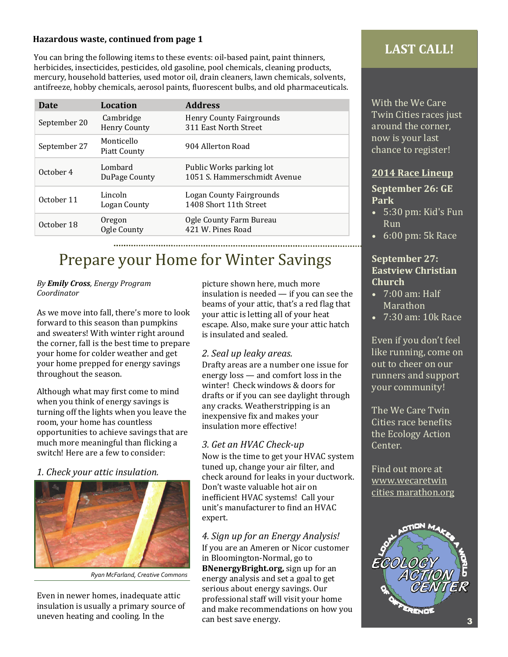### **Hazardous waste, continued from page 1**

You can bring the following items to these events: oil-based paint, paint thinners, herbicides, insecticides, pesticides, old gasoline, pool chemicals, cleaning products, mercury, household batteries, used motor oil, drain cleaners, lawn chemicals, solvents, antifreeze, hobby chemicals, aerosol paints, fluorescent bulbs, and old pharmaceuticals.

| Date         | Location                         | <b>Address</b>                                           |  |
|--------------|----------------------------------|----------------------------------------------------------|--|
| September 20 | Cambridge<br><b>Henry County</b> | <b>Henry County Fairgrounds</b><br>311 East North Street |  |
| September 27 | Monticello<br>Piatt County       | 904 Allerton Road                                        |  |
| October 4    | Lombard<br>DuPage County         | Public Works parking lot<br>1051 S. Hammerschmidt Avenue |  |
| October 11   | Lincoln<br>Logan County          | Logan County Fairgrounds<br>1408 Short 11th Street       |  |
| October 18   | Oregon<br>Ogle County            | Ogle County Farm Bureau<br>421 W. Pines Road             |  |

## Prepare your Home for Winter Savings

#### *By Emily Cross, Energy Program Coordinator*

As we move into fall, there's more to look forward to this season than pumpkins and sweaters! With winter right around the corner, fall is the best time to prepare your home for colder weather and get your home prepped for energy savings throughout the season.

Although what may first come to mind when you think of energy savings is turning off the lights when you leave the room, your home has countless opportunities to achieve savings that are much more meaningful than flicking a switch! Here are a few to consider:

### *1. Check your attic insulation.*



*Ryan McFarland, Creative Commons*

Even in newer homes, inadequate attic insulation is usually a primary source of uneven heating and cooling. In the

picture shown here, much more insulation is needed  $-$  if you can see the beams of your attic, that's a red flag that your attic is letting all of your heat escape. Also, make sure your attic hatch is insulated and sealed.

### *2. Seal up leaky areas.*

Drafty areas are a number one issue for energy  $\log s$  — and comfort  $\log \sin t$  the winter! Check windows & doors for drafts or if you can see daylight through any cracks. Weatherstripping is an inexpensive fix and makes your insulation more effective!

### *3. Get an HVAC Check‐up*

Now is the time to get your HVAC system tuned up, change your air filter, and check around for leaks in your ductwork. Don't waste valuable hot air on inefficient HVAC systems! Call your unit's manufacturer to find an HVAC expert. 

*4. Sign up for an Energy Analysis!* If you are an Ameren or Nicor customer in Bloomington-Normal, go to **BNenergyBright.org,** sign up for an energy analysis and set a goal to get serious about energy savings. Our professional staff will visit your home and make recommendations on how you can best save energy.

### **LAST CALL!**

With the We Care Twin Cities races just around the corner, now is your last chance to register!

### **2014 Race Lineup**

### **September 26: GE Park**

- $\bullet$  5:30 pm: Kid's Fun Run
- $\bullet$  6:00 pm: 5k Race

### **September** 27: **Eastview Christian Church**

- $\bullet$  7:00 am: Half **Marathon**
- 7:30 am: 10k Race

Even if you don't feel like running, come on out to cheer on our runners and support your community!

The We Care Twin Cities race benefits the Ecology Action Center. 

Find out more at www.wecaretwin cities marathon.org